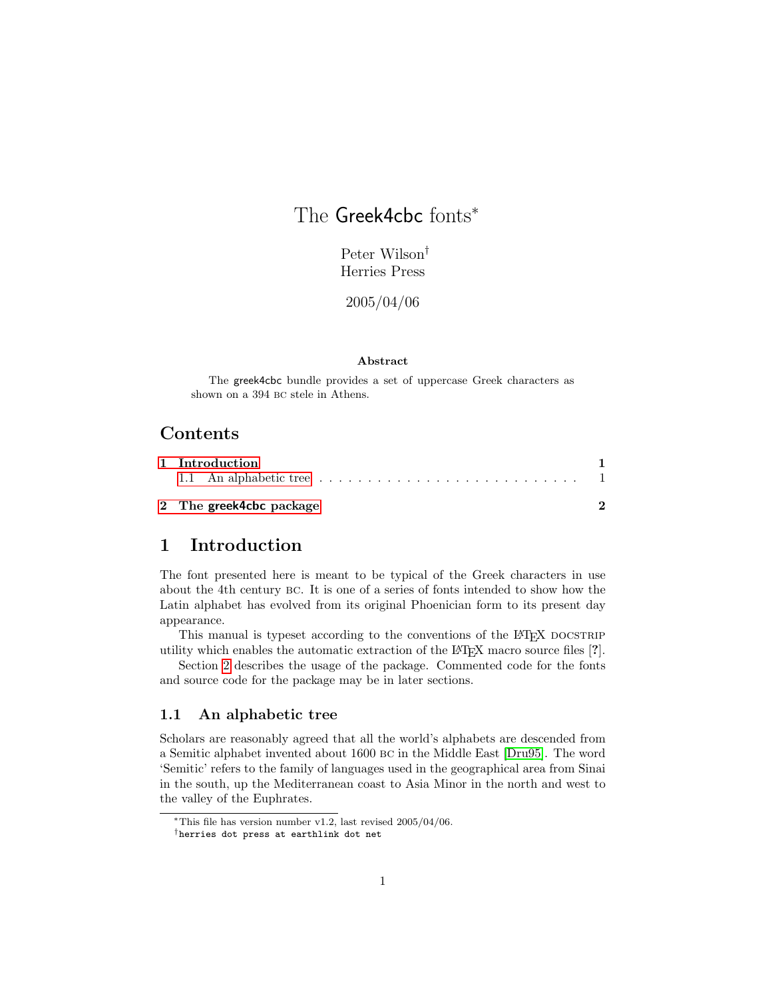# The Greek4cbc fonts<sup>\*</sup>

Peter Wilson† Herries Press

2005/04/06

#### Abstract

The greek4cbc bundle provides a set of uppercase Greek characters as shown on a 394 bc stele in Athens.

### Contents

| 1 Introduction                                                                            |  |  |  |
|-------------------------------------------------------------------------------------------|--|--|--|
| 1.1 An alphabetic tree $\ldots \ldots \ldots \ldots \ldots \ldots \ldots \ldots \ldots 1$ |  |  |  |
| 2 The greek4cbc package                                                                   |  |  |  |

### <span id="page-0-0"></span>1 Introduction

The font presented here is meant to be typical of the Greek characters in use about the 4th century bc. It is one of a series of fonts intended to show how the Latin alphabet has evolved from its original Phoenician form to its present day appearance.

This manual is typeset according to the conventions of the LATEX DOCSTRIP utility which enables the automatic extraction of the LATEX macro source files [?].

Section [2](#page-1-0) describes the usage of the package. Commented code for the fonts and source code for the package may be in later sections.

### <span id="page-0-1"></span>1.1 An alphabetic tree

Scholars are reasonably agreed that all the world's alphabets are descended from a Semitic alphabet invented about 1600 bc in the Middle East [\[Dru95\]](#page-3-0). The word 'Semitic' refers to the family of languages used in the geographical area from Sinai in the south, up the Mediterranean coast to Asia Minor in the north and west to the valley of the Euphrates.

<sup>∗</sup>This file has version number v1.2, last revised 2005/04/06.

<sup>†</sup>herries dot press at earthlink dot net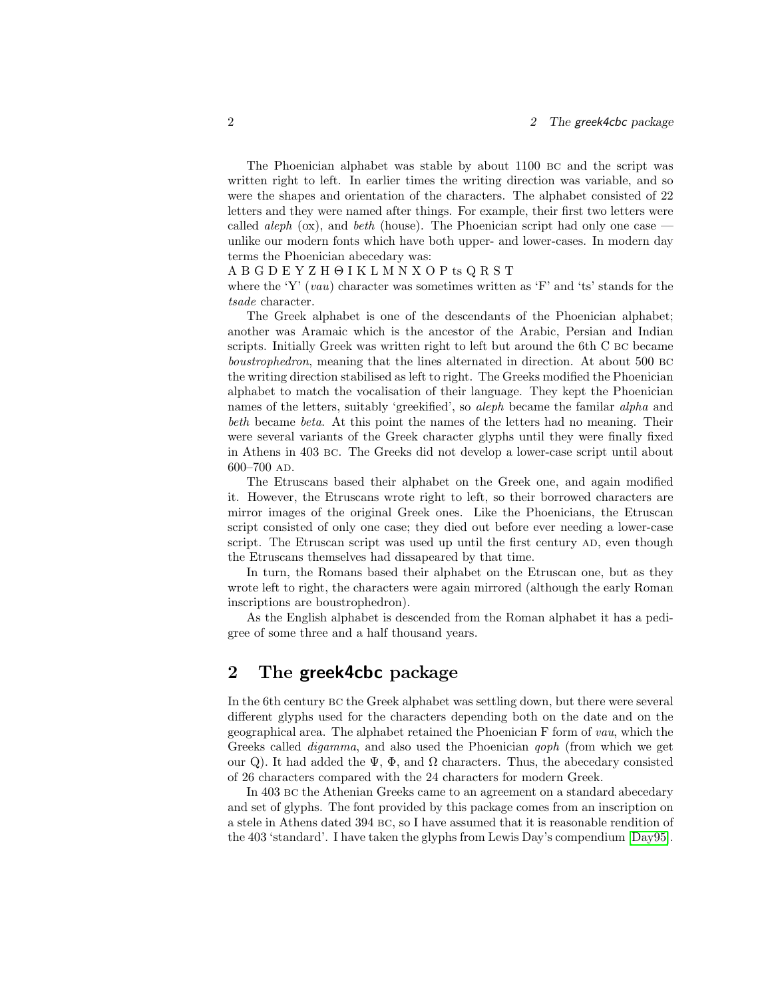The Phoenician alphabet was stable by about 1100 bc and the script was written right to left. In earlier times the writing direction was variable, and so were the shapes and orientation of the characters. The alphabet consisted of 22 letters and they were named after things. For example, their first two letters were called *aleph* ( $\alpha$ ), and *beth* (house). The Phoenician script had only one case unlike our modern fonts which have both upper- and lower-cases. In modern day terms the Phoenician abecedary was:

#### A B G D E Y Z H Θ I K L M N X O P ts Q R S T

where the 'Y'  $(vau)$  character was sometimes written as 'F' and 'ts' stands for the tsade character.

The Greek alphabet is one of the descendants of the Phoenician alphabet; another was Aramaic which is the ancestor of the Arabic, Persian and Indian scripts. Initially Greek was written right to left but around the 6th C bc became boustrophedron, meaning that the lines alternated in direction. At about 500 bc the writing direction stabilised as left to right. The Greeks modified the Phoenician alphabet to match the vocalisation of their language. They kept the Phoenician names of the letters, suitably 'greekified', so *aleph* became the familar *alpha* and beth became beta. At this point the names of the letters had no meaning. Their were several variants of the Greek character glyphs until they were finally fixed in Athens in 403 bc. The Greeks did not develop a lower-case script until about 600–700 ad.

The Etruscans based their alphabet on the Greek one, and again modified it. However, the Etruscans wrote right to left, so their borrowed characters are mirror images of the original Greek ones. Like the Phoenicians, the Etruscan script consisted of only one case; they died out before ever needing a lower-case script. The Etruscan script was used up until the first century AD, even though the Etruscans themselves had dissapeared by that time.

In turn, the Romans based their alphabet on the Etruscan one, but as they wrote left to right, the characters were again mirrored (although the early Roman inscriptions are boustrophedron).

As the English alphabet is descended from the Roman alphabet it has a pedigree of some three and a half thousand years.

### <span id="page-1-0"></span>2 The **greek4cbc** package

In the 6th century bc the Greek alphabet was settling down, but there were several different glyphs used for the characters depending both on the date and on the geographical area. The alphabet retained the Phoenician F form of vau, which the Greeks called *digamma*, and also used the Phoenician *qoph* (from which we get our Q). It had added the  $\Psi$ ,  $\Phi$ , and  $\Omega$  characters. Thus, the abecedary consisted of 26 characters compared with the 24 characters for modern Greek.

In 403 bc the Athenian Greeks came to an agreement on a standard abecedary and set of glyphs. The font provided by this package comes from an inscription on a stele in Athens dated 394 bc, so I have assumed that it is reasonable rendition of the 403 'standard'. I have taken the glyphs from Lewis Day's compendium [\[Day95\]](#page-3-1).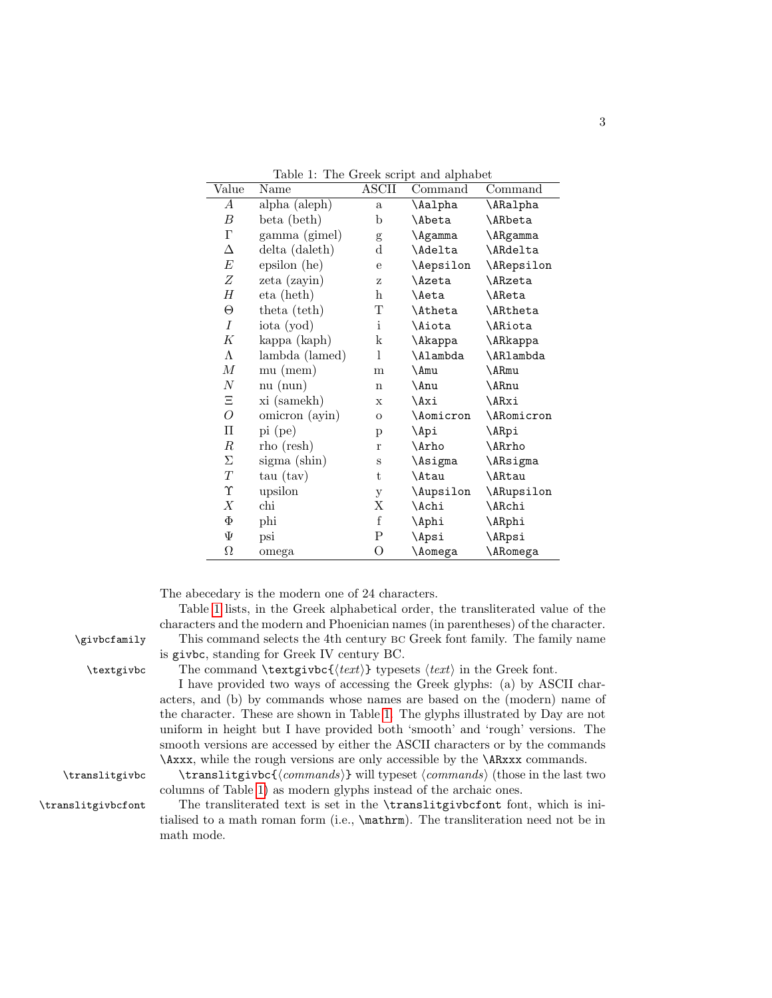| Value      | Name           | <b>ASCII</b>   | The Green seript and arphabet<br>Command | Command         |
|------------|----------------|----------------|------------------------------------------|-----------------|
| А          | alpha (aleph)  | $\mathbf{a}$   | \Aalpha                                  | \ARalpha        |
| В          | beta (beth)    | b              | \Abeta                                   | \ARbeta         |
| Г          | gamma (gimel)  | g              | \Agamma                                  | \ARgamma        |
| Δ          | delta (daleth) | $\rm{d}$       | \Adelta                                  | \ARdelta        |
| E          | epsilon (he)   | e              | \Aepsilon                                | \ARepsilon      |
| Ζ          | zeta (zayin)   | Ζ              | <b>\Azeta</b>                            | \ARzeta         |
| Н          | eta (heth)     | h              | \Aeta                                    | \AReta          |
| $\Theta$   | theta (teth)   | T              | <b>\Atheta</b>                           | \ARtheta        |
| Ι          | iota (yod)     | $\mathbf{i}$   | <i><b>\Aiota</b></i>                     | <b>\ARiota</b>  |
| K          | kappa (kaph)   | k              | \Akappa                                  | \ARkappa        |
| Λ          | lambda (lamed) | 1              | \Alambda                                 | \AR1ambda       |
| М          | mu (mem)       | m              | \Amu                                     | \ARmu           |
| Ν          | nu (num)       | $\mathbf n$    | \Anu                                     | \ARnu           |
| Ξ          | xi (samekh)    | X              | \Axi                                     | \ARxi           |
| O          | omicron (ayin) | $\mathbf O$    | \Aomicron                                | \ARomicron      |
| П          | $pi$ (pe)      | p              | \Api                                     | \ARpi           |
| $\, R \,$  | rho (resh)     | $\mathbf r$    | \Arho                                    | \ARrho          |
| Σ          | sigma (shin)   | S              | \Asigma                                  | \ARsigma        |
| T          | tau (tav)      | t              | \Atau                                    | \ARtau          |
| $\Upsilon$ | upsilon        | y              | \Aupsilon                                | \ARupsilon      |
| Х          | chi            | Χ              | \Achi                                    | \ARchi          |
| Φ          | phi            | f              | \Aphi                                    | \ARphi          |
| Ψ          | psi            | P              | \Apsi                                    | \ARpsi          |
| $\Omega$   | omega          | $\overline{O}$ | \Aomega                                  | <b>\ARomega</b> |

<span id="page-2-0"></span>Table 1: The Greek script and alphabet

The abecedary is the modern one of 24 characters.

Table [1](#page-2-0) lists, in the Greek alphabetical order, the transliterated value of the characters and the modern and Phoenician names (in parentheses) of the character. \givbcfamily This command selects the 4th century bc Greek font family. The family name is givbc, standing for Greek IV century BC.

\textgivbc The command \textgivbc $\{\text{text}\}$  typesets  $\text{text}\}$  in the Greek font.

I have provided two ways of accessing the Greek glyphs: (a) by ASCII characters, and (b) by commands whose names are based on the (modern) name of the character. These are shown in Table [1.](#page-2-0) The glyphs illustrated by Day are not uniform in height but I have provided both 'smooth' and 'rough' versions. The smooth versions are accessed by either the ASCII characters or by the commands \Axxx, while the rough versions are only accessible by the \ARxxx commands.

 $\translitybc \translitybc{\*commands*} will typeset \*commands* (those in the last two$ columns of Table [1\)](#page-2-0) as modern glyphs instead of the archaic ones. \translitgivbcfont The transliterated text is set in the \translitgivbcfont font, which is ini-

tialised to a math roman form (i.e., \mathrm). The transliteration need not be in math mode.